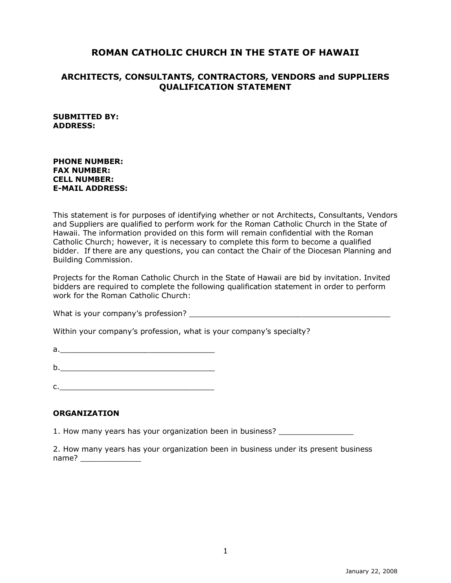# **ROMAN CATHOLIC CHURCH IN THE STATE OF HAWAII**

### **ARCHITECTS, CONSULTANTS, CONTRACTORS, VENDORS and SUPPLIERS QUALIFICATION STATEMENT**

#### **SUBMITTED BY: ADDRESS:**

#### **PHONE NUMBER: FAX NUMBER: CELL NUMBER: E-MAIL ADDRESS:**

This statement is for purposes of identifying whether or not Architects, Consultants, Vendors and Suppliers are qualified to perform work for the Roman Catholic Church in the State of Hawaii. The information provided on this form will remain confidential with the Roman Catholic Church; however, it is necessary to complete this form to become a qualified bidder. If there are any questions, you can contact the Chair of the Diocesan Planning and Building Commission.

Projects for the Roman Catholic Church in the State of Hawaii are bid by invitation. Invited bidders are required to complete the following qualification statement in order to perform work for the Roman Catholic Church:

What is your company's profession?

Within your company's profession, what is your company's specialty?

 $a.$ 

b.\_\_\_\_\_\_\_\_\_\_\_\_\_\_\_\_\_\_\_\_\_\_\_\_\_\_\_\_\_\_\_\_\_

 $c.$ 

#### **ORGANIZATION**

1. How many years has your organization been in business?

2. How many years has your organization been in business under its present business name?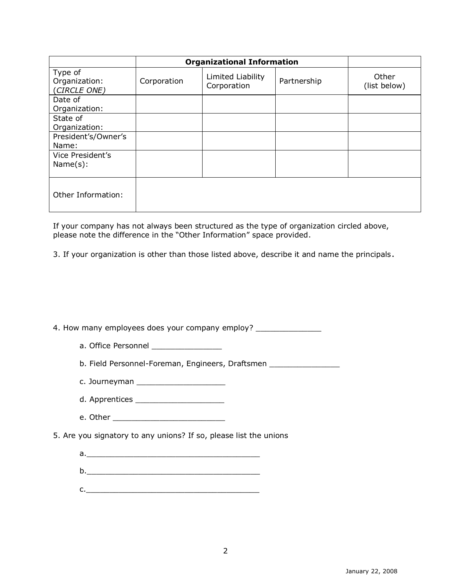|                                          | <b>Organizational Information</b> |                                  |             |                       |
|------------------------------------------|-----------------------------------|----------------------------------|-------------|-----------------------|
| Type of<br>Organization:<br>(CIRCLE ONE) | Corporation                       | Limited Liability<br>Corporation | Partnership | Other<br>(list below) |
| Date of<br>Organization:                 |                                   |                                  |             |                       |
| State of<br>Organization:                |                                   |                                  |             |                       |
| President's/Owner's<br>Name:             |                                   |                                  |             |                       |
| Vice President's<br>Name(s):             |                                   |                                  |             |                       |
| Other Information:                       |                                   |                                  |             |                       |

If your company has not always been structured as the type of organization circled above, please note the difference in the "Other Information" space provided.

3. If your organization is other than those listed above, describe it and name the principals.

4. How many employees does your company employ? \_\_\_\_\_\_\_\_\_\_\_\_\_\_\_\_\_\_\_\_\_\_\_\_\_\_\_\_\_\_\_\_

a. Office Personnel

b. Field Personnel-Foreman, Engineers, Draftsmen \_\_\_\_\_\_\_\_\_\_\_\_\_\_\_

- c. Journeyman \_\_\_\_\_\_\_\_\_\_\_\_\_\_\_\_\_\_\_
- d. Apprentices \_\_\_\_\_\_\_\_\_\_\_\_\_\_\_\_\_\_\_
- e. Other \_\_\_\_\_\_\_\_\_\_\_\_\_\_\_\_\_\_\_\_\_\_\_\_
- 5. Are you signatory to any unions? If so, please list the unions
	- a.\_\_\_\_\_\_\_\_\_\_\_\_\_\_\_\_\_\_\_\_\_\_\_\_\_\_\_\_\_\_\_\_\_\_\_\_\_
	- $b.$
	- $c.$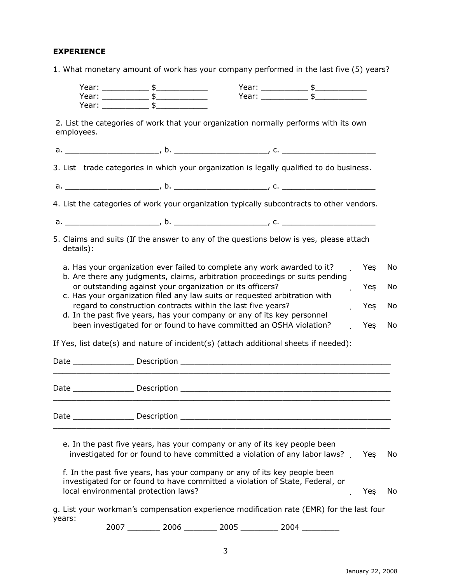## **EXPERIENCE**

|  |  | 1. What monetary amount of work has your company performed in the last five (5) years? |  |  |  |  |  |  |
|--|--|----------------------------------------------------------------------------------------|--|--|--|--|--|--|
|--|--|----------------------------------------------------------------------------------------|--|--|--|--|--|--|

|        |            | Year: ________________ \$________________                                                                                                                                                          |  | Year: _________________ \$_________________                                               |           |     |
|--------|------------|----------------------------------------------------------------------------------------------------------------------------------------------------------------------------------------------------|--|-------------------------------------------------------------------------------------------|-----------|-----|
|        |            | $Year:$ $$$<br>Year: _______________ \$__                                                                                                                                                          |  | Year: ______________ \$______                                                             |           |     |
|        | employees. |                                                                                                                                                                                                    |  | 2. List the categories of work that your organization normally performs with its own      |           |     |
|        |            |                                                                                                                                                                                                    |  |                                                                                           |           |     |
|        |            |                                                                                                                                                                                                    |  | 3. List trade categories in which your organization is legally qualified to do business.  |           |     |
|        |            |                                                                                                                                                                                                    |  |                                                                                           |           |     |
|        |            |                                                                                                                                                                                                    |  | 4. List the categories of work your organization typically subcontracts to other vendors. |           |     |
|        |            |                                                                                                                                                                                                    |  |                                                                                           |           |     |
|        | details):  |                                                                                                                                                                                                    |  | 5. Claims and suits (If the answer to any of the questions below is yes, please attach    |           |     |
|        |            | a. Has your organization ever failed to complete any work awarded to it?<br>b. Are there any judgments, claims, arbitration proceedings or suits pending                                           |  | J.                                                                                        | Yes       | No. |
|        |            | or outstanding against your organization or its officers?<br>c. Has your organization filed any law suits or requested arbitration with                                                            |  |                                                                                           | Yes<br>ä, | No  |
|        |            | regard to construction contracts within the last five years?                                                                                                                                       |  |                                                                                           | Yes       | No  |
|        |            | d. In the past five years, has your company or any of its key personnel<br>been investigated for or found to have committed an OSHA violation?                                                     |  |                                                                                           | Yeş       | No  |
|        |            |                                                                                                                                                                                                    |  | If Yes, list date(s) and nature of incident(s) (attach additional sheets if needed):      |           |     |
|        |            |                                                                                                                                                                                                    |  |                                                                                           |           |     |
|        |            |                                                                                                                                                                                                    |  |                                                                                           |           |     |
|        |            |                                                                                                                                                                                                    |  |                                                                                           |           |     |
|        |            | e. In the past five years, has your company or any of its key people been                                                                                                                          |  | investigated for or found to have committed a violation of any labor laws?                | Yes       | No. |
|        |            | f. In the past five years, has your company or any of its key people been<br>investigated for or found to have committed a violation of State, Federal, or<br>local environmental protection laws? |  |                                                                                           | Yeş       | No  |
| years: |            |                                                                                                                                                                                                    |  | g. List your workman's compensation experience modification rate (EMR) for the last four  |           |     |

2007 \_\_\_\_\_\_\_ 2006 \_\_\_\_\_\_\_ 2005 \_\_\_\_\_\_\_\_ 2004 \_\_\_\_\_\_\_\_